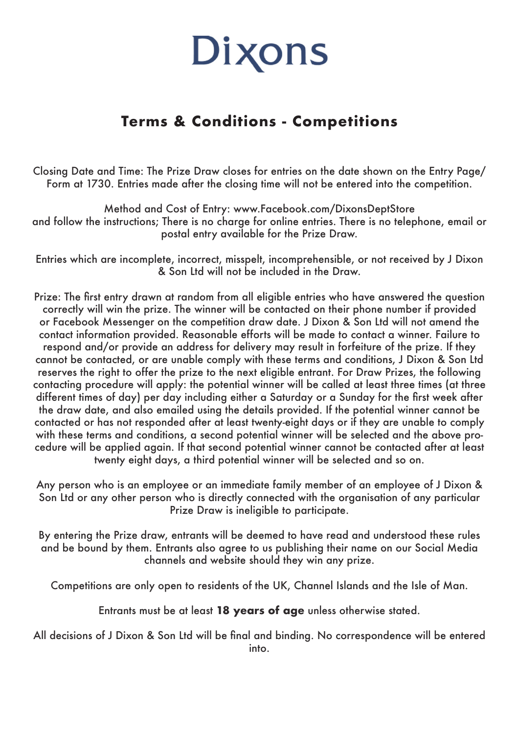## Dixons

## **Terms & Conditions - Competitions**

Closing Date and Time: The Prize Draw closes for entries on the date shown on the Entry Page/ Form at 1730. Entries made after the closing time will not be entered into the competition.

Method and Cost of Entry: www.Facebook.com/DixonsDeptStore and follow the instructions; There is no charge for online entries. There is no telephone, email or postal entry available for the Prize Draw.

Entries which are incomplete, incorrect, misspelt, incomprehensible, or not received by J Dixon & Son Ltd will not be included in the Draw.

Prize: The first entry drawn at random from all eligible entries who have answered the question correctly will win the prize. The winner will be contacted on their phone number if provided or Facebook Messenger on the competition draw date. J Dixon & Son Ltd will not amend the contact information provided. Reasonable efforts will be made to contact a winner. Failure to respond and/or provide an address for delivery may result in forfeiture of the prize. If they cannot be contacted, or are unable comply with these terms and conditions, J Dixon & Son Ltd reserves the right to offer the prize to the next eligible entrant. For Draw Prizes, the following contacting procedure will apply: the potential winner will be called at least three times (at three different times of day) per day including either a Saturday or a Sunday for the first week after the draw date, and also emailed using the details provided. If the potential winner cannot be contacted or has not responded after at least twenty-eight days or if they are unable to comply with these terms and conditions, a second potential winner will be selected and the above procedure will be applied again. If that second potential winner cannot be contacted after at least twenty eight days, a third potential winner will be selected and so on.

Any person who is an employee or an immediate family member of an employee of J Dixon & Son Ltd or any other person who is directly connected with the organisation of any particular Prize Draw is ineligible to participate.

By entering the Prize draw, entrants will be deemed to have read and understood these rules and be bound by them. Entrants also agree to us publishing their name on our Social Media channels and website should they win any prize.

Competitions are only open to residents of the UK, Channel Islands and the Isle of Man.

Entrants must be at least **18 years of age** unless otherwise stated.

All decisions of J Dixon & Son Ltd will be final and binding. No correspondence will be entered into.